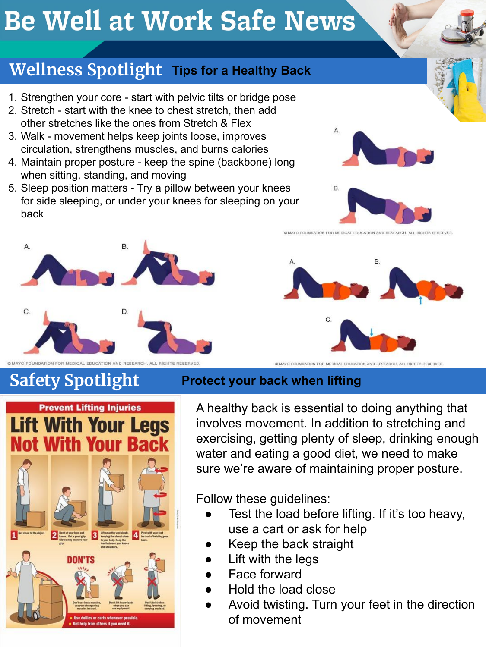# **Be Well at Work Safe News**

## **Wellness Spotlight Tips for a Healthy Back**

- 1. Strengthen your core start with pelvic tilts or bridge pose
- 2. Stretch start with the knee to chest stretch, then add other stretches like the ones from Stretch & Flex
- 3. Walk movement helps keep joints loose, improves circulation, strengthens muscles, and burns calories
- 4. Maintain proper posture keep the spine (backbone) long when sitting, standing, and moving
- 5. Sleep position matters Try a pillow between your knees for side sleeping, or under your knees for sleeping on your back



@ MAYO FOUNDATION FOR MEDICAL EDUCATION AND RESEARCH, ALL RIGHTS RESERVED



## **Safety Spotlight Protect your back when lifting**

A healthy back is essential to doing anything that involves movement. In addition to stretching and exercising, getting plenty of sleep, drinking enough water and eating a good diet, we need to make sure we're aware of maintaining proper posture.

Follow these guidelines:

- Test the load before lifting. If it's too heavy, use a cart or ask for help
- Keep the back straight
- Lift with the leas
- **Face forward**
- Hold the load close
- Avoid twisting. Turn your feet in the direction of movement





@ MAYO FOUNDATION FOR MEDICAL EDUCATION AND RESEARCH, ALL RIGHTS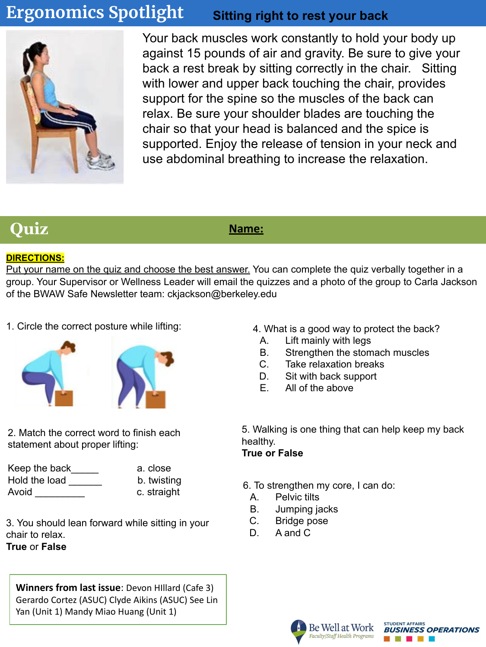### **Ergonomics Spotlight Sitting right to rest your back**



Your back muscles work constantly to hold your body up against 15 pounds of air and gravity. Be sure to give your back a rest break by sitting correctly in the chair. Sitting with lower and upper back touching the chair, provides support for the spine so the muscles of the back can relax. Be sure your shoulder blades are touching the chair so that your head is balanced and the spice is supported. Enjoy the release of tension in your neck and use abdominal breathing to increase the relaxation.

## *Quiz Name:*

### **DIRECTIONS:**

Put your name on the quiz and choose the best answer. You can complete the quiz verbally together in a group. Your Supervisor or Wellness Leader will email the quizzes and a photo of the group to Carla Jackson of the BWAW Safe Newsletter team: ckjackson@berkeley.edu

1. Circle the correct posture while lifting:



2. Match the correct word to finish each statement about proper lifting:

| Keep the back | a. close    |
|---------------|-------------|
| Hold the load | b. twisting |
| Avoid         | c. straight |

3. You should lean forward while sitting in your chair to relax. **True** or **False**

**Winners from last issue**: Devon HIllard (Cafe 3) Gerardo Cortez (ASUC) Clyde Aikins (ASUC) See Lin Yan (Unit 1) Mandy Miao Huang (Unit 1)

- 4. What is a good way to protect the back?
	- A. Lift mainly with legs
	- B. Strengthen the stomach muscles
	- C. Take relaxation breaks
	- D. Sit with back support
	- E. All of the above

5. Walking is one thing that can help keep my back healthy.

### **True or False**

6. To strengthen my core, I can do:

- A. Pelvic tilts
- B. Jumping jacks
- C. Bridge pose
- D. A and C



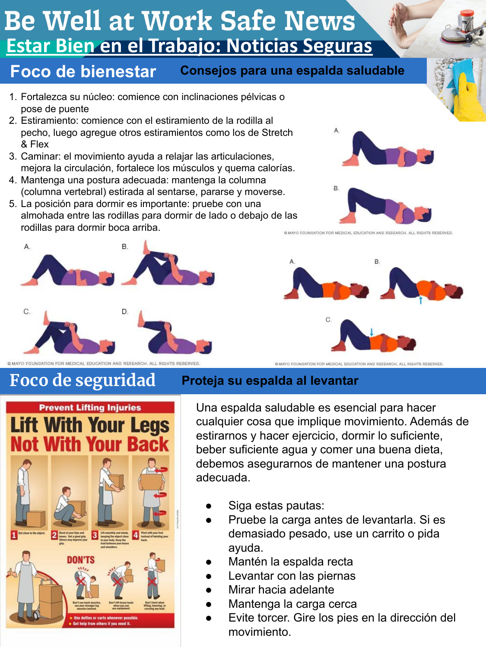# **Be Well at Work Safe News Estar Bien en el Trabajo: Noticias Seguras**

#### **Foco de bienestar Consejos para una espalda saludable**

- 1. Fortalezca su núcleo: comience con inclinaciones pélvicas o pose de puente
- 2. Estiramiento: comience con el estiramiento de la rodilla al pecho, luego agregue otros estiramientos como los de Stretch & Flex
- 3. Caminar: el movimiento ayuda a relajar las articulaciones, mejora la circulación, fortalece los músculos y quema calorías.
- 4. Mantenga una postura adecuada: mantenga la columna (columna vertebral) estirada al sentarse, pararse y moverse.
- 5. La posición para dormir es importante: pruebe con una almohada entre las rodillas para dormir de lado o debajo de las rodillas para dormir boca arriba.



@ MAYO FOUNDATION FOR MEDICAL EDUCATION AND RESEARCH, ALL RIGHTS RESERVED

## **Foco de seguridad Proteja su espalda al levantar**



Una espalda saludable es esencial para hacer cualquier cosa que implique movimiento. Además de estirarnos y hacer ejercicio, dormir lo suficiente, beber suficiente agua y comer una buena dieta, debemos asegurarnos de mantener una postura adecuada.

- Siga estas pautas:
- Pruebe la carga antes de levantarla. Si es demasiado pesado, use un carrito o pida ayuda.
- Mantén la espalda recta
- Levantar con las piernas
- Mirar hacia adelante
- Mantenga la carga cerca
- Evite torcer. Gire los pies en la dirección del movimiento.







@ MAYO FOUNDATION FOR MEDICAL EDUCATION AND RESEARCH, ALL RIGHTS RESEI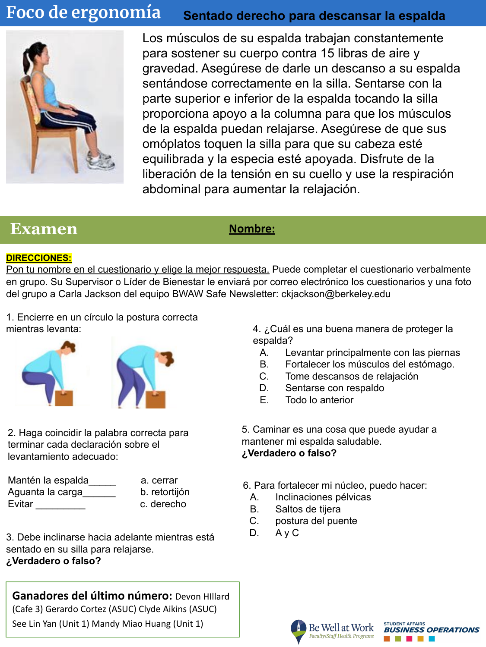#### **Foco de ergonomía Sentado derecho para descansar la espalda**



Los músculos de su espalda trabajan constantemente para sostener su cuerpo contra 15 libras de aire y gravedad. Asegúrese de darle un descanso a su espalda sentándose correctamente en la silla. Sentarse con la parte superior e inferior de la espalda tocando la silla proporciona apoyo a la columna para que los músculos de la espalda puedan relajarse. Asegúrese de que sus omóplatos toquen la silla para que su cabeza esté equilibrada y la especia esté apoyada. Disfrute de la liberación de la tensión en su cuello y use la respiración abdominal para aumentar la relajación.

### **Examen** *Nombre:*

### **DIRECCIONES:**

Pon tu nombre en el cuestionario y elige la mejor respuesta. Puede completar el cuestionario verbalmente en grupo. Su Supervisor o Líder de Bienestar le enviará por correo electrónico los cuestionarios y una foto del grupo a Carla Jackson del equipo BWAW Safe Newsletter: ckjackson@berkeley.edu

1. Encierre en un círculo la postura correcta mientras levanta:



2. Haga coincidir la palabra correcta para terminar cada declaración sobre el levantamiento adecuado:

| Mantén la espalda | a. cerrar     |
|-------------------|---------------|
| Aguanta la carga  | b. retortijón |
| Evitar            | c. derecho    |

3. Debe inclinarse hacia adelante mientras está sentado en su silla para relajarse. **¿Verdadero o falso?**

**Ganadores del último número:** Devon HIllard (Cafe 3) Gerardo Cortez (ASUC) Clyde Aikins (ASUC) See Lin Yan (Unit 1) Mandy Miao Huang (Unit 1)

4. ¿Cuál es una buena manera de proteger la espalda?

- A. Levantar principalmente con las piernas
- B. Fortalecer los músculos del estómago.
- C. Tome descansos de relajación
- D. Sentarse con respaldo
- E. Todo lo anterior

5. Caminar es una cosa que puede ayudar a mantener mi espalda saludable. **¿Verdadero o falso?**

6. Para fortalecer mi núcleo, puedo hacer:

- A. Inclinaciones pélvicas
- B. Saltos de tijera
- C. postura del puente
- D. A y C



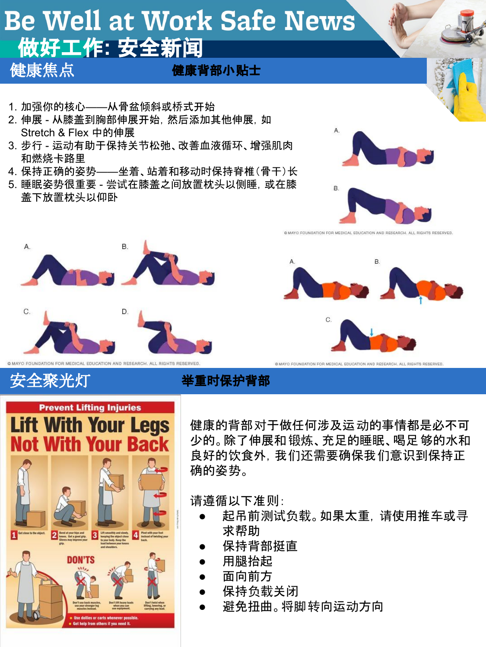# **Be Well at Work Safe News** 做好工作**:** 安全新闻

健康焦点

健康背部小贴士

- 1. 加强你的核心——从骨盆倾斜或桥式开始
- 2. 伸展 从膝盖到胸部伸展开始, 然后添加其他伸展, 如 Stretch & Flex 中的伸展
- 3. 步行 运动有助于保持关节松弛、改善血液循环、增强肌肉 和燃烧卡路里
- 4. 保持正确的姿势——坐着、站着和移动时保持脊椎(骨干)长
- 5. 睡眠姿势很重要 尝试在膝盖之间放置枕头以侧睡,或在膝 盖下放置枕头以仰卧









@ MAYO FOUNDATION FOR MEDICAL EDUCATION AND RESEARCH, ALL RIGHTS RESERVE

**6 MAYO FOUNDATION FOR MEDICAL EDUCATION AND RESEARCH. ALL RIGHTS RESERVED** 



安全聚光灯 举重时保护背部

健康的背部对于做任何涉及运动的事情都是必不可 少的。除了伸展和锻炼、充足的睡眠、喝足够的水和 良好的饮食外,我们还需要确保我们意识到保持正 确的姿势。

请遵循以下准则:

- 起吊前测试负载。如果太重,请使用推车或寻 求帮助
- 保持背部挺直
- 用腿抬起
- 面向前方
- 保持负载关闭
- 避免扭曲。将脚转向运动方向